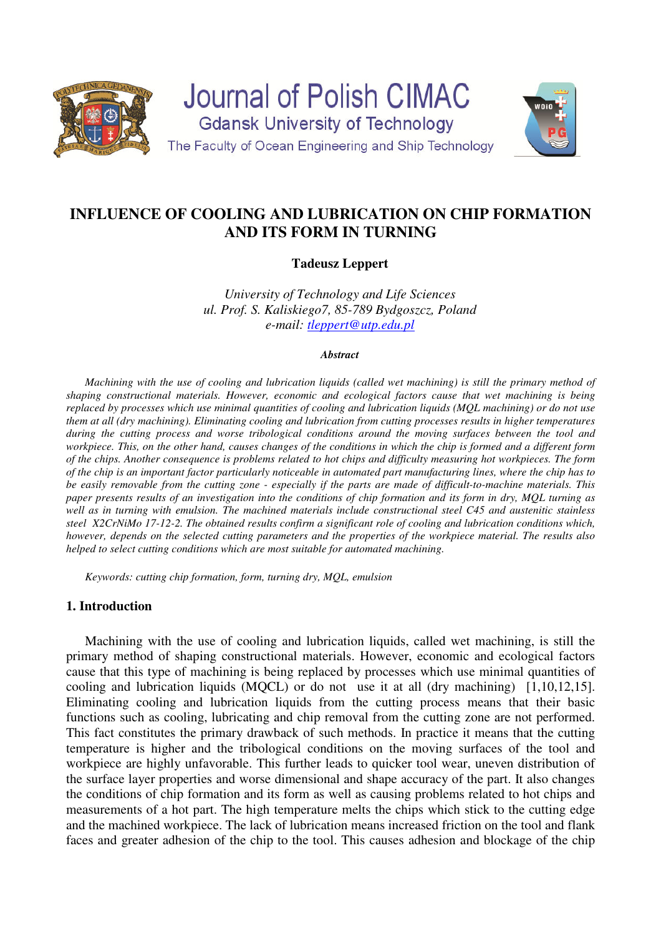

# **INFLUENCE OF COOLING AND LUBRICATION ON CHIP FORMATION AND ITS FORM IN TURNING**

# **Tadeusz Leppert**

*University of Technology and Life Sciences ul. Prof. S. Kaliskiego7, 85-789 Bydgoszcz, Poland e-mail: tleppert@utp.edu.pl*

#### *Abstract*

*Machining with the use of cooling and lubrication liquids (called wet machining) is still the primary method of shaping constructional materials. However, economic and ecological factors cause that wet machining is being replaced by processes which use minimal quantities of cooling and lubrication liquids (MQL machining) or do not use them at all (dry machining). Eliminating cooling and lubrication from cutting processes results in higher temperatures during the cutting process and worse tribological conditions around the moving surfaces between the tool and workpiece. This, on the other hand, causes changes of the conditions in which the chip is formed and a different form of the chips. Another consequence is problems related to hot chips and difficulty measuring hot workpieces. The form of the chip is an important factor particularly noticeable in automated part manufacturing lines, where the chip has to be easily removable from the cutting zone - especially if the parts are made of difficult-to-machine materials. This paper presents results of an investigation into the conditions of chip formation and its form in dry, MQL turning as well as in turning with emulsion. The machined materials include constructional steel C45 and austenitic stainless steel X2CrNiMo 17-12-2. The obtained results confirm a significant role of cooling and lubrication conditions which, however, depends on the selected cutting parameters and the properties of the workpiece material. The results also helped to select cutting conditions which are most suitable for automated machining.* 

*Keywords: cutting chip formation, form, turning dry, MQL, emulsion* 

# **1. Introduction**

Machining with the use of cooling and lubrication liquids, called wet machining, is still the primary method of shaping constructional materials. However, economic and ecological factors cause that this type of machining is being replaced by processes which use minimal quantities of cooling and lubrication liquids (MQCL) or do not use it at all (dry machining) [1,10,12,15]. Eliminating cooling and lubrication liquids from the cutting process means that their basic functions such as cooling, lubricating and chip removal from the cutting zone are not performed. This fact constitutes the primary drawback of such methods. In practice it means that the cutting temperature is higher and the tribological conditions on the moving surfaces of the tool and workpiece are highly unfavorable. This further leads to quicker tool wear, uneven distribution of the surface layer properties and worse dimensional and shape accuracy of the part. It also changes the conditions of chip formation and its form as well as causing problems related to hot chips and measurements of a hot part. The high temperature melts the chips which stick to the cutting edge and the machined workpiece. The lack of lubrication means increased friction on the tool and flank faces and greater adhesion of the chip to the tool. This causes adhesion and blockage of the chip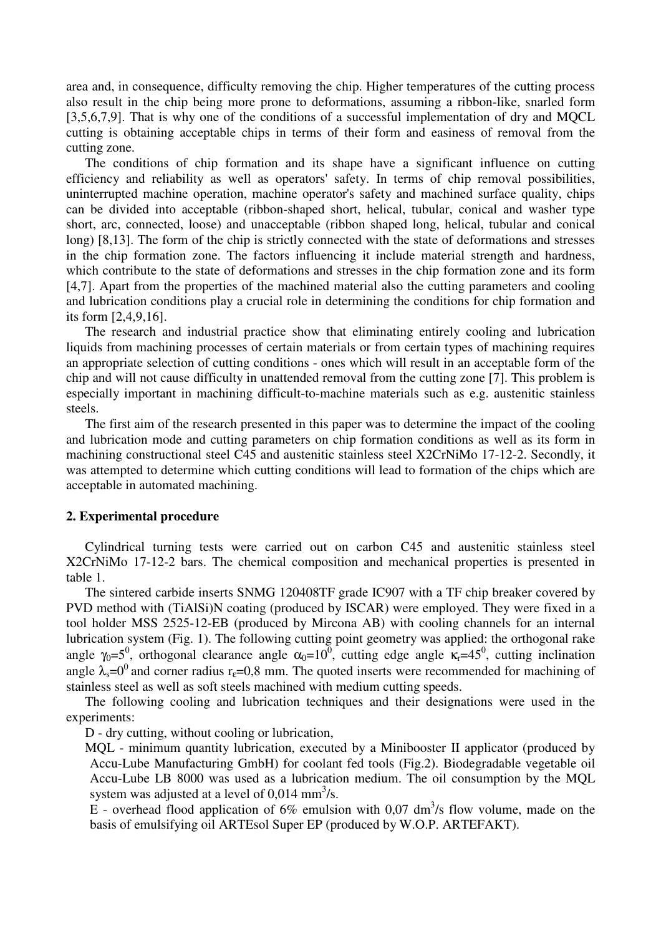area and, in consequence, difficulty removing the chip. Higher temperatures of the cutting process also result in the chip being more prone to deformations, assuming a ribbon-like, snarled form [3,5,6,7,9]. That is why one of the conditions of a successful implementation of dry and MOCL cutting is obtaining acceptable chips in terms of their form and easiness of removal from the cutting zone.

The conditions of chip formation and its shape have a significant influence on cutting efficiency and reliability as well as operators' safety. In terms of chip removal possibilities, uninterrupted machine operation, machine operator's safety and machined surface quality, chips can be divided into acceptable (ribbon-shaped short, helical, tubular, conical and washer type short, arc, connected, loose) and unacceptable (ribbon shaped long, helical, tubular and conical long) [8,13]. The form of the chip is strictly connected with the state of deformations and stresses in the chip formation zone. The factors influencing it include material strength and hardness, which contribute to the state of deformations and stresses in the chip formation zone and its form [4,7]. Apart from the properties of the machined material also the cutting parameters and cooling and lubrication conditions play a crucial role in determining the conditions for chip formation and its form [2,4,9,16].

The research and industrial practice show that eliminating entirely cooling and lubrication liquids from machining processes of certain materials or from certain types of machining requires an appropriate selection of cutting conditions - ones which will result in an acceptable form of the chip and will not cause difficulty in unattended removal from the cutting zone [7]. This problem is especially important in machining difficult-to-machine materials such as e.g. austenitic stainless steels.

The first aim of the research presented in this paper was to determine the impact of the cooling and lubrication mode and cutting parameters on chip formation conditions as well as its form in machining constructional steel C45 and austenitic stainless steel X2CrNiMo 17-12-2. Secondly, it was attempted to determine which cutting conditions will lead to formation of the chips which are acceptable in automated machining.

### **2. Experimental procedure**

Cylindrical turning tests were carried out on carbon C45 and austenitic stainless steel X2CrNiMo 17-12-2 bars. The chemical composition and mechanical properties is presented in table 1.

The sintered carbide inserts SNMG 120408TF grade IC907 with a TF chip breaker covered by PVD method with (TiAlSi)N coating (produced by ISCAR) were employed. They were fixed in a tool holder MSS 2525-12-EB (produced by Mircona AB) with cooling channels for an internal lubrication system (Fig. 1). The following cutting point geometry was applied: the orthogonal rake angle  $\gamma_0 = 5^0$ , orthogonal clearance angle  $\alpha_0 = 10^0$ , cutting edge angle  $\kappa_r = 45^0$ , cutting inclination angle  $\lambda_s = 0^0$  and corner radius r<sub>ε</sub>=0,8 mm. The quoted inserts were recommended for machining of stainless steel as well as soft steels machined with medium cutting speeds.

The following cooling and lubrication techniques and their designations were used in the experiments:

D - dry cutting, without cooling or lubrication,

MQL - minimum quantity lubrication, executed by a Minibooster II applicator (produced by Accu-Lube Manufacturing GmbH) for coolant fed tools (Fig.2). Biodegradable vegetable oil Accu-Lube LB 8000 was used as a lubrication medium. The oil consumption by the MQL system was adjusted at a level of  $0.014 \text{ mm}^3$ /s.

 $\overline{E}$  - overhead flood application of 6% emulsion with 0,07 dm<sup>3</sup>/s flow volume, made on the basis of emulsifying oil ARTEsol Super EP (produced by W.O.P. ARTEFAKT).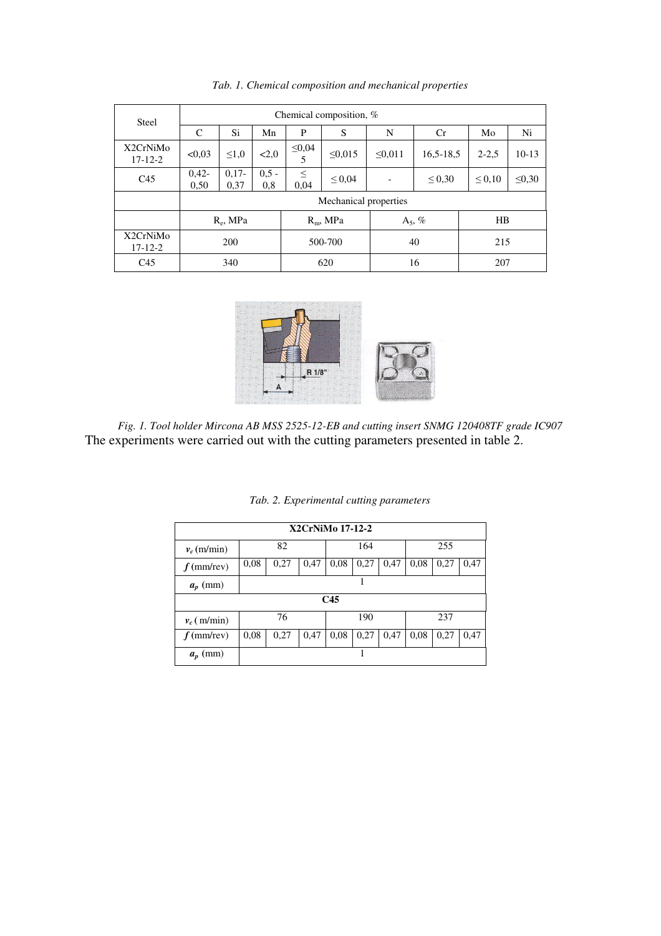| <b>Steel</b>              | Chemical composition, %                                |     |                  |              |         |             |             |             |    |  |
|---------------------------|--------------------------------------------------------|-----|------------------|--------------|---------|-------------|-------------|-------------|----|--|
|                           | $\mathcal{C}$                                          | Si. | Mn               | P            | S       | N           | Cr          | Mo          | Ni |  |
| X2CrNiMo<br>$17 - 12 - 2$ | < 0.03<br>$\leq 1.0$<br>2,0                            |     | $\leq 0,04$<br>5 | $\leq 0.015$ | < 0.011 | $16,5-18,5$ | $2 - 2.5$   | $10-13$     |    |  |
| C <sub>45</sub>           | $0.42 -$<br>$0.17 -$<br>$0.5 -$<br>0,37<br>0,50<br>0,8 |     | $\leq$<br>0,04   | $\leq 0.04$  |         | $\leq 0,30$ | $\leq 0.10$ | $\leq 0,30$ |    |  |
|                           | Mechanical properties                                  |     |                  |              |         |             |             |             |    |  |
|                           | $R_e$ , MPa                                            |     |                  | $R_m$ , MPa  |         |             | $A_5, \%$   |             | HB |  |
| X2CrNiMo<br>$17 - 12 - 2$ | 200                                                    |     |                  | 500-700      |         | 40          |             | 215         |    |  |
| C <sub>45</sub>           | 340                                                    |     |                  | 620          |         | 16          |             | 207         |    |  |

*Tab. 1. Chemical composition and mechanical properties* 



*Fig. 1. Tool holder Mircona AB MSS 2525-12-EB and cutting insert SNMG 120408TF grade IC907* The experiments were carried out with the cutting parameters presented in table 2.

|  |  |  | Tab. 2. Experimental cutting parameters |  |  |
|--|--|--|-----------------------------------------|--|--|
|--|--|--|-----------------------------------------|--|--|

| X2CrNiMo 17-12-2 |                      |      |      |      |      |      |      |      |      |
|------------------|----------------------|------|------|------|------|------|------|------|------|
| $v_c$ (m/min)    | 82                   |      |      | 164  |      |      | 255  |      |      |
| $f$ (mm/rev)     | 0.08<br>0,27<br>0,47 |      | 0.08 | 0,27 | 0,47 | 0.08 | 0,27 | 0,47 |      |
| $a_p$ (mm)       |                      |      |      |      |      |      |      |      |      |
| C45              |                      |      |      |      |      |      |      |      |      |
| $v_c$ (m/min)    | 76                   |      | 190  |      | 237  |      |      |      |      |
| $f$ (mm/rev)     | 0.08                 | 0,27 | 0,47 | 0.08 | 0,27 | 0,47 | 0.08 | 0,27 | 0,47 |
| $a_n$ (mm)       |                      |      |      |      |      |      |      |      |      |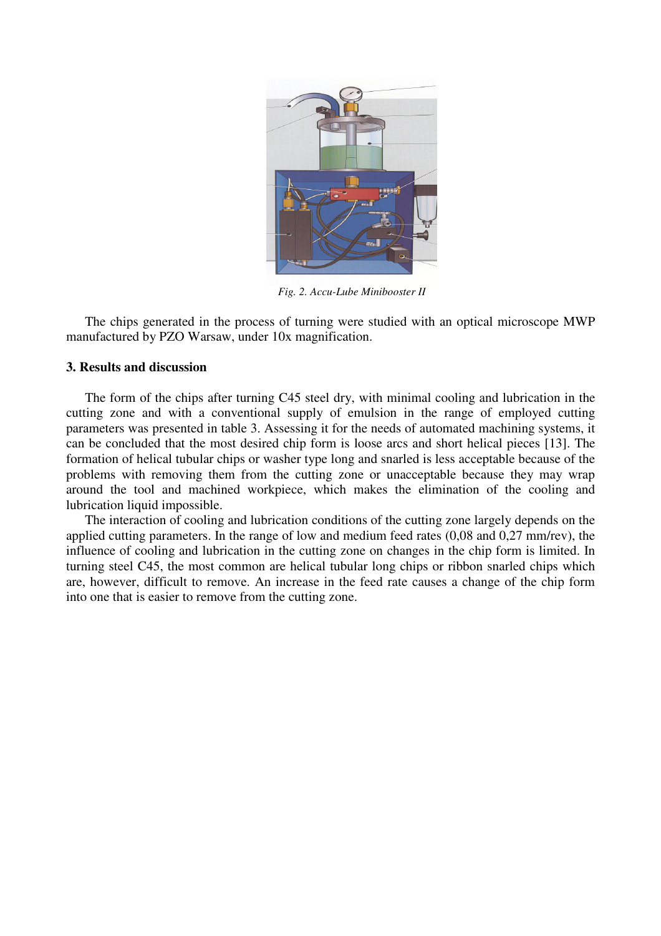

*Fig. 2. Accu-Lube Minibooster II* 

The chips generated in the process of turning were studied with an optical microscope MWP manufactured by PZO Warsaw, under 10x magnification.

#### **3. Results and discussion**

The form of the chips after turning C45 steel dry, with minimal cooling and lubrication in the cutting zone and with a conventional supply of emulsion in the range of employed cutting parameters was presented in table 3. Assessing it for the needs of automated machining systems, it can be concluded that the most desired chip form is loose arcs and short helical pieces [13]. The formation of helical tubular chips or washer type long and snarled is less acceptable because of the problems with removing them from the cutting zone or unacceptable because they may wrap around the tool and machined workpiece, which makes the elimination of the cooling and lubrication liquid impossible.

The interaction of cooling and lubrication conditions of the cutting zone largely depends on the applied cutting parameters. In the range of low and medium feed rates (0,08 and 0,27 mm/rev), the influence of cooling and lubrication in the cutting zone on changes in the chip form is limited. In turning steel C45, the most common are helical tubular long chips or ribbon snarled chips which are, however, difficult to remove. An increase in the feed rate causes a change of the chip form into one that is easier to remove from the cutting zone.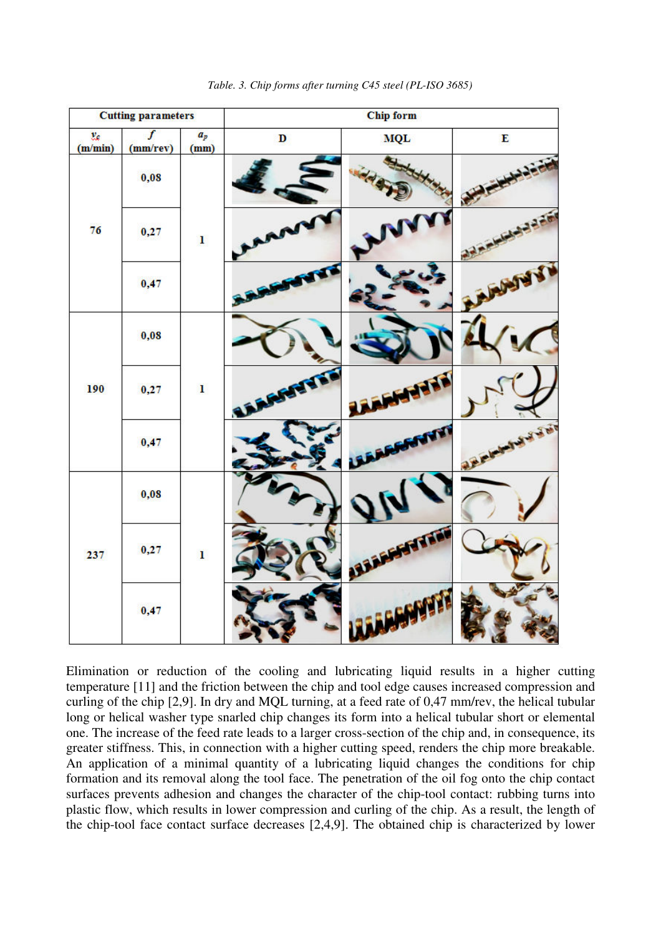

*Table. 3. Chip forms after turning C45 steel (PL-ISO 3685)* 

Elimination or reduction of the cooling and lubricating liquid results in a higher cutting temperature [11] and the friction between the chip and tool edge causes increased compression and curling of the chip [2,9]. In dry and MQL turning, at a feed rate of 0,47 mm/rev, the helical tubular long or helical washer type snarled chip changes its form into a helical tubular short or elemental one. The increase of the feed rate leads to a larger cross-section of the chip and, in consequence, its greater stiffness. This, in connection with a higher cutting speed, renders the chip more breakable. An application of a minimal quantity of a lubricating liquid changes the conditions for chip formation and its removal along the tool face. The penetration of the oil fog onto the chip contact surfaces prevents adhesion and changes the character of the chip-tool contact: rubbing turns into plastic flow, which results in lower compression and curling of the chip. As a result, the length of the chip-tool face contact surface decreases [2,4,9]. The obtained chip is characterized by lower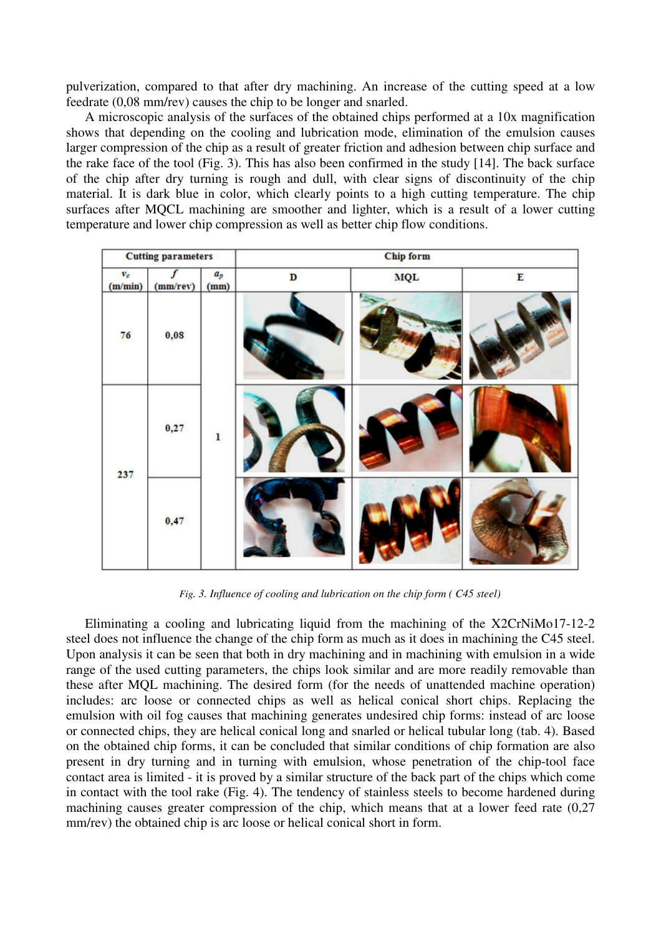pulverization, compared to that after dry machining. An increase of the cutting speed at a low feedrate (0,08 mm/rev) causes the chip to be longer and snarled.

A microscopic analysis of the surfaces of the obtained chips performed at a 10x magnification shows that depending on the cooling and lubrication mode, elimination of the emulsion causes larger compression of the chip as a result of greater friction and adhesion between chip surface and the rake face of the tool (Fig. 3). This has also been confirmed in the study [14]. The back surface of the chip after dry turning is rough and dull, with clear signs of discontinuity of the chip material. It is dark blue in color, which clearly points to a high cutting temperature. The chip surfaces after MQCL machining are smoother and lighter, which is a result of a lower cutting temperature and lower chip compression as well as better chip flow conditions.

| <b>Cutting parameters</b> |          |               | Chip form   |            |   |  |  |
|---------------------------|----------|---------------|-------------|------------|---|--|--|
| $v_c\,$<br>(m/min)        | (mm/rev) | $a_p$<br>(mm) | $\mathbf D$ | <b>MQL</b> | E |  |  |
| 76                        | 0,08     |               |             |            |   |  |  |
| 237                       | 0,27     | $\mathbf{I}$  |             |            |   |  |  |
|                           | 0,47     |               |             |            |   |  |  |

*Fig. 3. Influence of cooling and lubrication on the chip form ( C45 steel)*

Eliminating a cooling and lubricating liquid from the machining of the X2CrNiMo17-12-2 steel does not influence the change of the chip form as much as it does in machining the C45 steel. Upon analysis it can be seen that both in dry machining and in machining with emulsion in a wide range of the used cutting parameters, the chips look similar and are more readily removable than these after MQL machining. The desired form (for the needs of unattended machine operation) includes: arc loose or connected chips as well as helical conical short chips. Replacing the emulsion with oil fog causes that machining generates undesired chip forms: instead of arc loose or connected chips, they are helical conical long and snarled or helical tubular long (tab. 4). Based on the obtained chip forms, it can be concluded that similar conditions of chip formation are also present in dry turning and in turning with emulsion, whose penetration of the chip-tool face contact area is limited - it is proved by a similar structure of the back part of the chips which come in contact with the tool rake (Fig. 4). The tendency of stainless steels to become hardened during machining causes greater compression of the chip, which means that at a lower feed rate (0,27 mm/rev) the obtained chip is arc loose or helical conical short in form.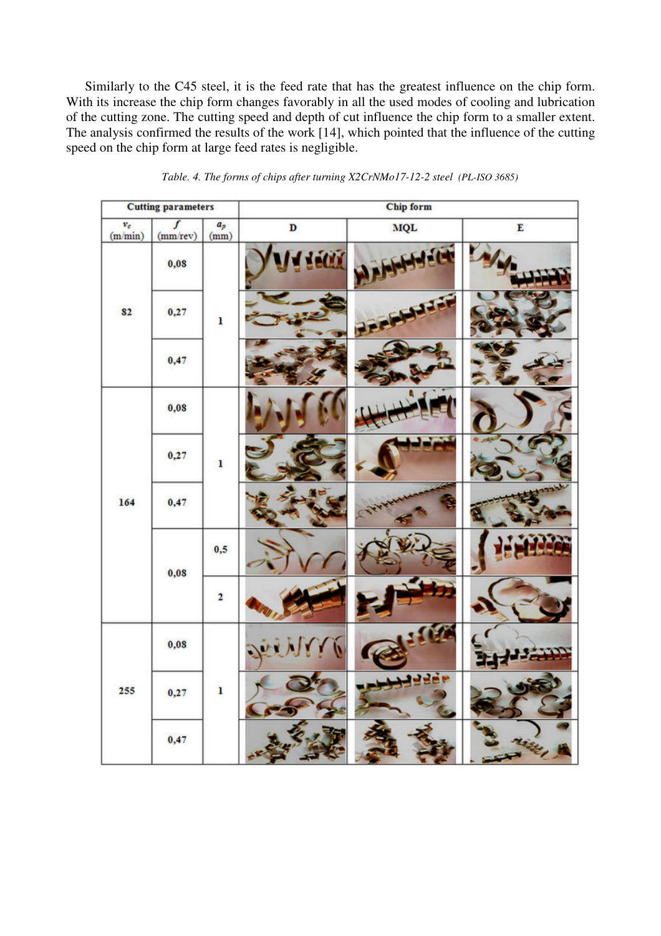Similarly to the C45 steel, it is the feed rate that has the greatest influence on the chip form. With its increase the chip form changes favorably in all the used modes of cooling and lubrication of the cutting zone. The cutting speed and depth of cut influence the chip form to a smaller extent. The analysis confirmed the results of the work [14], which pointed that the influence of the cutting speed on the chip form at large feed rates is negligible.

| <b>Cutting parameters</b> |                            |                            | <b>Chip form</b> |                  |           |  |  |
|---------------------------|----------------------------|----------------------------|------------------|------------------|-----------|--|--|
| $\frac{v_c}{(m/min)}$     | $\overline{f}$<br>(mm/rev) | $\boldsymbol{a}_p$<br>(mm) | D                | $_{\rm MQL}$     | ${\bf E}$ |  |  |
| 82                        | 0,08                       |                            | <b>ACT</b>       |                  |           |  |  |
|                           | 0,27                       | ı                          |                  | <b>THE</b><br>یع |           |  |  |
|                           | 0,47                       |                            |                  |                  |           |  |  |
| 164                       | 0,08                       |                            |                  |                  |           |  |  |
|                           | 0,27                       | ı                          |                  |                  |           |  |  |
|                           | 0,47                       |                            |                  |                  | יבר       |  |  |
|                           | 0,08                       | 0,5                        |                  |                  |           |  |  |
|                           |                            | $\overline{\mathbf{2}}$    |                  |                  |           |  |  |
| 255                       | 0,08                       | ı                          |                  |                  |           |  |  |
|                           | 0,27                       |                            |                  | <b>AMERIC</b>    |           |  |  |
|                           | 0,47                       |                            |                  |                  |           |  |  |

*Table. 4. The forms of chips after turning X2CrNMo17-12-2 steel (PL-ISO 3685)*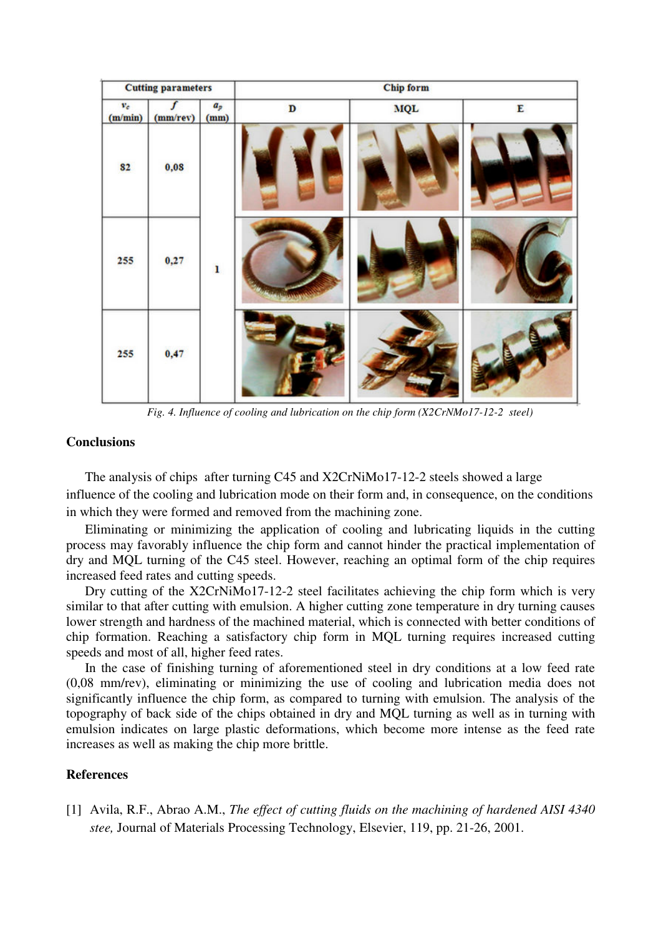| <b>Cutting parameters</b> |               |                            | <b>Chip form</b> |            |   |  |  |
|---------------------------|---------------|----------------------------|------------------|------------|---|--|--|
| $v_{\rm c}$<br>(m/min)    | ſ<br>(mm/rev) | $\boldsymbol{a}_p$<br>(mm) | $\mathbf D$      | <b>MQL</b> | E |  |  |
| 82                        | 0,08          |                            |                  |            |   |  |  |
| 255                       | 0,27          | ı                          |                  |            |   |  |  |
| 255                       | 0,47          |                            |                  |            |   |  |  |

*Fig. 4. Influence of cooling and lubrication on the chip form (X2CrNMo17-12-2 steel)*

### **Conclusions**

The analysis of chips after turning C45 and X2CrNiMo17-12-2 steels showed a large influence of the cooling and lubrication mode on their form and, in consequence, on the conditions in which they were formed and removed from the machining zone.

Eliminating or minimizing the application of cooling and lubricating liquids in the cutting process may favorably influence the chip form and cannot hinder the practical implementation of dry and MQL turning of the C45 steel. However, reaching an optimal form of the chip requires increased feed rates and cutting speeds.

Dry cutting of the X2CrNiMo17-12-2 steel facilitates achieving the chip form which is very similar to that after cutting with emulsion. A higher cutting zone temperature in dry turning causes lower strength and hardness of the machined material, which is connected with better conditions of chip formation. Reaching a satisfactory chip form in MQL turning requires increased cutting speeds and most of all, higher feed rates.

In the case of finishing turning of aforementioned steel in dry conditions at a low feed rate (0,08 mm/rev), eliminating or minimizing the use of cooling and lubrication media does not significantly influence the chip form, as compared to turning with emulsion. The analysis of the topography of back side of the chips obtained in dry and MQL turning as well as in turning with emulsion indicates on large plastic deformations, which become more intense as the feed rate increases as well as making the chip more brittle.

# **References**

[1] Avila, R.F., Abrao A.M., *The effect of cutting fluids on the machining of hardened AISI 4340 stee,* Journal of Materials Processing Technology, Elsevier, 119, pp. 21-26, 2001.